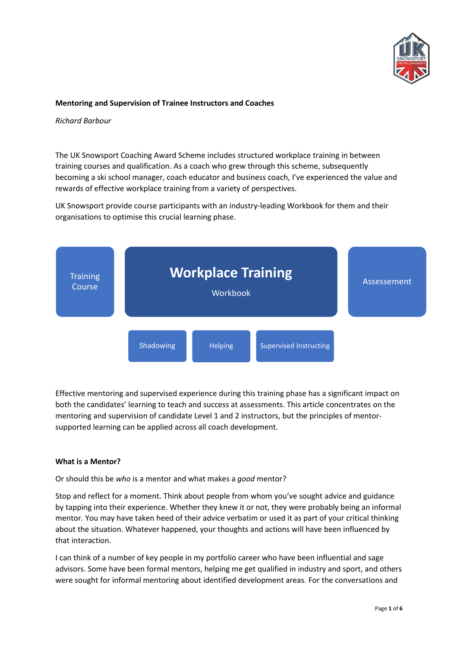

## **Mentoring and Supervision of Trainee Instructors and Coaches**

*Richard Barbour*

The UK Snowsport Coaching Award Scheme includes structured workplace training in between training courses and qualification. As a coach who grew through this scheme, subsequently becoming a ski school manager, coach educator and business coach, I've experienced the value and rewards of effective workplace training from a variety of perspectives.

UK Snowsport provide course participants with an industry-leading Workbook for them and their organisations to optimise this crucial learning phase.



Effective mentoring and supervised experience during this training phase has a significant impact on both the candidates' learning to teach and success at assessments. This article concentrates on the mentoring and supervision of candidate Level 1 and 2 instructors, but the principles of mentorsupported learning can be applied across all coach development.

### **What is a Mentor?**

Or should this be *who* is a mentor and what makes a *good* mentor?

Stop and reflect for a moment. Think about people from whom you've sought advice and guidance by tapping into their experience. Whether they knew it or not, they were probably being an informal mentor*.* You may have taken heed of their advice verbatim or used it as part of your critical thinking about the situation. Whatever happened, your thoughts and actions will have been influenced by that interaction.

I can think of a number of key people in my portfolio career who have been influential and sage advisors. Some have been formal mentors, helping me get qualified in industry and sport, and others were sought for informal mentoring about identified development areas. For the conversations and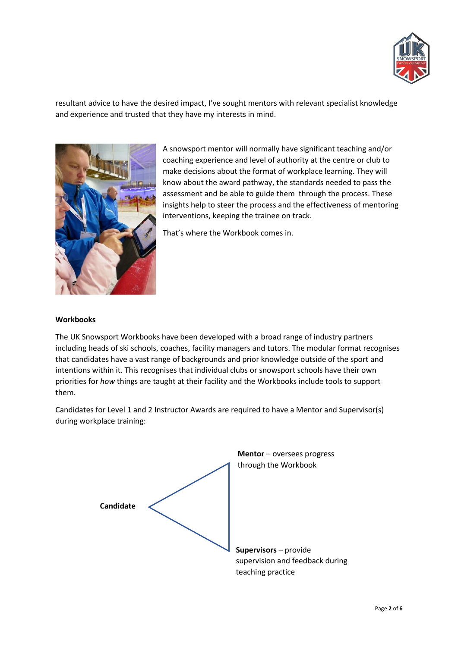

resultant advice to have the desired impact, I've sought mentors with relevant specialist knowledge and experience and trusted that they have my interests in mind.



A snowsport mentor will normally have significant teaching and/or coaching experience and level of authority at the centre or club to make decisions about the format of workplace learning. They will know about the award pathway, the standards needed to pass the assessment and be able to guide them through the process. These insights help to steer the process and the effectiveness of mentoring interventions, keeping the trainee on track.

That's where the Workbook comes in.

### **Workbooks**

The UK Snowsport Workbooks have been developed with a broad range of industry partners including heads of ski schools, coaches, facility managers and tutors. The modular format recognises that candidates have a vast range of backgrounds and prior knowledge outside of the sport and intentions within it. This recognises that individual clubs or snowsport schools have their own priorities for *how* things are taught at their facility and the Workbooks include tools to support them.

Candidates for Level 1 and 2 Instructor Awards are required to have a Mentor and Supervisor(s) during workplace training:

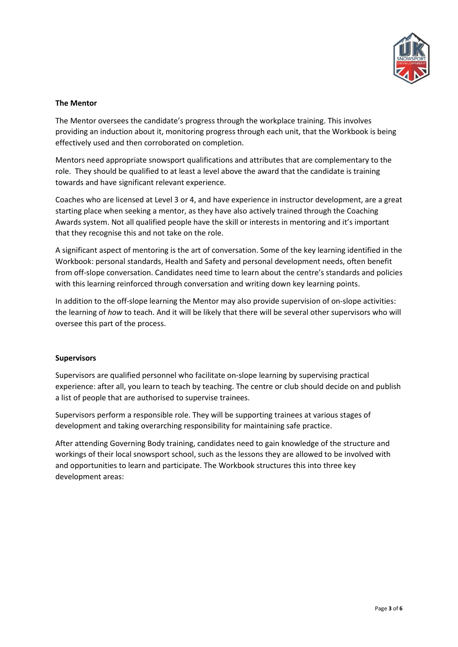

# **The Mentor**

The Mentor oversees the candidate's progress through the workplace training. This involves providing an induction about it, monitoring progress through each unit, that the Workbook is being effectively used and then corroborated on completion.

Mentors need appropriate snowsport qualifications and attributes that are complementary to the role. They should be qualified to at least a level above the award that the candidate is training towards and have significant relevant experience.

Coaches who are licensed at Level 3 or 4, and have experience in instructor development, are a great starting place when seeking a mentor, as they have also actively trained through the Coaching Awards system. Not all qualified people have the skill or interests in mentoring and it's important that they recognise this and not take on the role.

A significant aspect of mentoring is the art of conversation. Some of the key learning identified in the Workbook: personal standards, Health and Safety and personal development needs, often benefit from off-slope conversation. Candidates need time to learn about the centre's standards and policies with this learning reinforced through conversation and writing down key learning points.

In addition to the off-slope learning the Mentor may also provide supervision of on-slope activities: the learning of *how* to teach. And it will be likely that there will be several other supervisors who will oversee this part of the process.

### **Supervisors**

Supervisors are qualified personnel who facilitate on-slope learning by supervising practical experience: after all, you learn to teach by teaching. The centre or club should decide on and publish a list of people that are authorised to supervise trainees.

Supervisors perform a responsible role. They will be supporting trainees at various stages of development and taking overarching responsibility for maintaining safe practice.

After attending Governing Body training, candidates need to gain knowledge of the structure and workings of their local snowsport school, such as the lessons they are allowed to be involved with and opportunities to learn and participate. The Workbook structures this into three key development areas: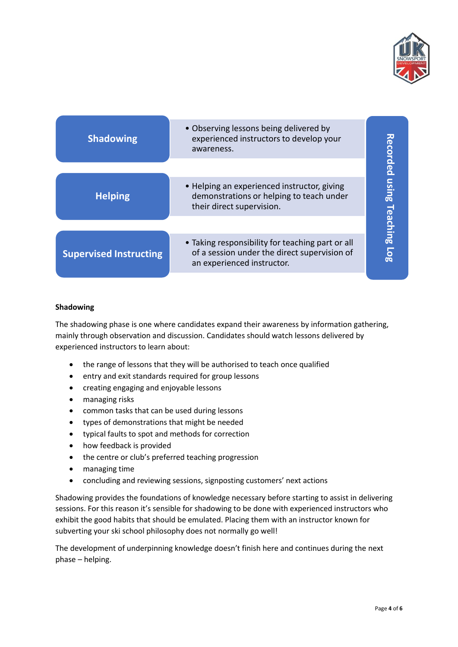

| <b>Shadowing</b>              | • Observing lessons being delivered by<br>experienced instructors to develop your<br>awareness.                                |                         |  |  |  |
|-------------------------------|--------------------------------------------------------------------------------------------------------------------------------|-------------------------|--|--|--|
| <b>Helping</b>                | • Helping an experienced instructor, giving<br>demonstrations or helping to teach under<br>their direct supervision.           | Recorded using Teaching |  |  |  |
| <b>Supervised Instructing</b> | • Taking responsibility for teaching part or all<br>of a session under the direct supervision of<br>an experienced instructor. | $\overline{108}$        |  |  |  |

### **Shadowing**

The shadowing phase is one where candidates expand their awareness by information gathering, mainly through observation and discussion. Candidates should watch lessons delivered by experienced instructors to learn about:

- the range of lessons that they will be authorised to teach once qualified
- entry and exit standards required for group lessons
- creating engaging and enjoyable lessons
- managing risks
- common tasks that can be used during lessons
- types of demonstrations that might be needed
- typical faults to spot and methods for correction
- how feedback is provided
- the centre or club's preferred teaching progression
- managing time
- concluding and reviewing sessions, signposting customers' next actions

Shadowing provides the foundations of knowledge necessary before starting to assist in delivering sessions. For this reason it's sensible for shadowing to be done with experienced instructors who exhibit the good habits that should be emulated. Placing them with an instructor known for subverting your ski school philosophy does not normally go well!

The development of underpinning knowledge doesn't finish here and continues during the next phase – helping.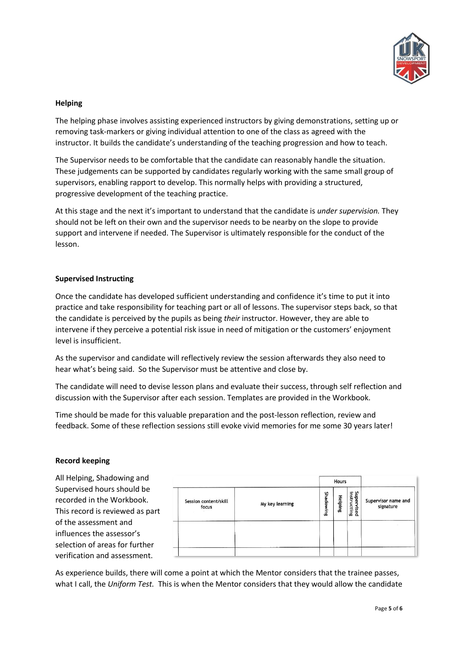

# **Helping**

The helping phase involves assisting experienced instructors by giving demonstrations, setting up or removing task-markers or giving individual attention to one of the class as agreed with the instructor. It builds the candidate's understanding of the teaching progression and how to teach.

The Supervisor needs to be comfortable that the candidate can reasonably handle the situation. These judgements can be supported by candidates regularly working with the same small group of supervisors, enabling rapport to develop. This normally helps with providing a structured, progressive development of the teaching practice.

At this stage and the next it's important to understand that the candidate is *under supervision.* They should not be left on their own and the supervisor needs to be nearby on the slope to provide support and intervene if needed. The Supervisor is ultimately responsible for the conduct of the lesson.

### **Supervised Instructing**

Once the candidate has developed sufficient understanding and confidence it's time to put it into practice and take responsibility for teaching part or all of lessons. The supervisor steps back, so that the candidate is perceived by the pupils as being *their* instructor. However, they are able to intervene if they perceive a potential risk issue in need of mitigation or the customers' enjoyment level is insufficient.

As the supervisor and candidate will reflectively review the session afterwards they also need to hear what's being said. So the Supervisor must be attentive and close by.

The candidate will need to devise lesson plans and evaluate their success, through self reflection and discussion with the Supervisor after each session. Templates are provided in the Workbook.

Time should be made for this valuable preparation and the post-lesson reflection, review and feedback. Some of these reflection sessions still evoke vivid memories for me some 30 years later!

### **Record keeping**

All Helping, Shadowing and Supervised hours should be recorded in the Workbook. This record is reviewed as part of the assessment and influences the assessor's selection of areas for further verification and assessment.

|                 | Hours     |         |                               |                                  |  |
|-----------------|-----------|---------|-------------------------------|----------------------------------|--|
| My key learning | Shadowing | Helping | Super<br>instructing<br>rised | Supervisor name and<br>signature |  |
|                 |           |         |                               |                                  |  |
|                 |           |         |                               |                                  |  |
|                 |           |         |                               |                                  |  |

As experience builds, there will come a point at which the Mentor considers that the trainee passes, what I call, the *Uniform Test.* This is when the Mentor considers that they would allow the candidate